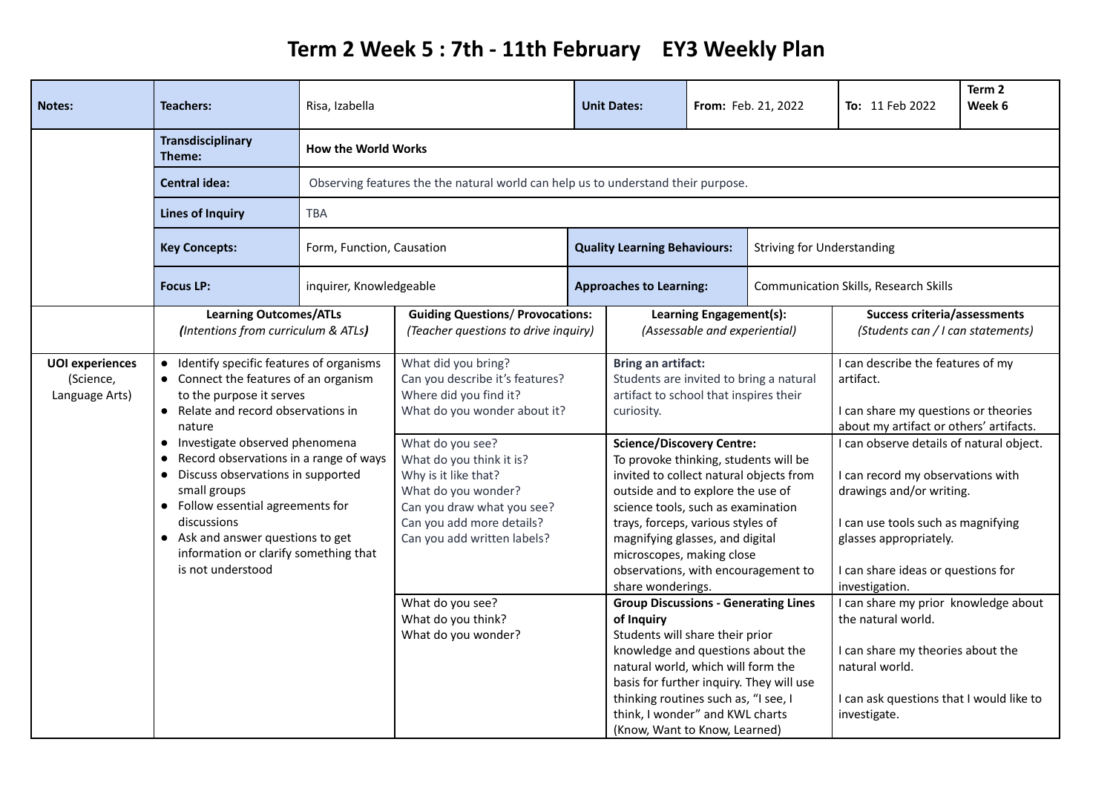## **Term 2 Week 5 : 7th - 11th February EY3 Weekly Plan**

| <b>Notes:</b>                                         | <b>Teachers:</b>                                                                                                                                                                                                                                                                                                                                                                                                                                                                           | Risa, Izabella                                                                                  |                                                                                                                                                                                                                                                                                                           |  | <b>Unit Dates:</b>                                                                                                                                                                                                                                                                                                                                                                                                                                                                               |                                | From: Feb. 21, 2022                                                                                                                                                                                                                                                                                                                                                    | <b>To:</b> 11 Feb 2022                                                                                                                                                        | Term 2<br>Week 6 |
|-------------------------------------------------------|--------------------------------------------------------------------------------------------------------------------------------------------------------------------------------------------------------------------------------------------------------------------------------------------------------------------------------------------------------------------------------------------------------------------------------------------------------------------------------------------|-------------------------------------------------------------------------------------------------|-----------------------------------------------------------------------------------------------------------------------------------------------------------------------------------------------------------------------------------------------------------------------------------------------------------|--|--------------------------------------------------------------------------------------------------------------------------------------------------------------------------------------------------------------------------------------------------------------------------------------------------------------------------------------------------------------------------------------------------------------------------------------------------------------------------------------------------|--------------------------------|------------------------------------------------------------------------------------------------------------------------------------------------------------------------------------------------------------------------------------------------------------------------------------------------------------------------------------------------------------------------|-------------------------------------------------------------------------------------------------------------------------------------------------------------------------------|------------------|
|                                                       | <b>Transdisciplinary</b><br>Theme:                                                                                                                                                                                                                                                                                                                                                                                                                                                         | <b>How the World Works</b>                                                                      |                                                                                                                                                                                                                                                                                                           |  |                                                                                                                                                                                                                                                                                                                                                                                                                                                                                                  |                                |                                                                                                                                                                                                                                                                                                                                                                        |                                                                                                                                                                               |                  |
|                                                       | <b>Central idea:</b>                                                                                                                                                                                                                                                                                                                                                                                                                                                                       | Observing features the the natural world can help us to understand their purpose.<br><b>TBA</b> |                                                                                                                                                                                                                                                                                                           |  |                                                                                                                                                                                                                                                                                                                                                                                                                                                                                                  |                                |                                                                                                                                                                                                                                                                                                                                                                        |                                                                                                                                                                               |                  |
|                                                       | <b>Lines of Inquiry</b>                                                                                                                                                                                                                                                                                                                                                                                                                                                                    |                                                                                                 |                                                                                                                                                                                                                                                                                                           |  |                                                                                                                                                                                                                                                                                                                                                                                                                                                                                                  |                                |                                                                                                                                                                                                                                                                                                                                                                        |                                                                                                                                                                               |                  |
|                                                       | <b>Key Concepts:</b>                                                                                                                                                                                                                                                                                                                                                                                                                                                                       | Form, Function, Causation                                                                       |                                                                                                                                                                                                                                                                                                           |  | <b>Quality Learning Behaviours:</b><br><b>Striving for Understanding</b>                                                                                                                                                                                                                                                                                                                                                                                                                         |                                |                                                                                                                                                                                                                                                                                                                                                                        |                                                                                                                                                                               |                  |
|                                                       | <b>Focus LP:</b>                                                                                                                                                                                                                                                                                                                                                                                                                                                                           | inquirer, Knowledgeable                                                                         |                                                                                                                                                                                                                                                                                                           |  |                                                                                                                                                                                                                                                                                                                                                                                                                                                                                                  | <b>Approaches to Learning:</b> |                                                                                                                                                                                                                                                                                                                                                                        | <b>Communication Skills, Research Skills</b>                                                                                                                                  |                  |
|                                                       | <b>Learning Outcomes/ATLs</b><br>(Intentions from curriculum & ATLs)                                                                                                                                                                                                                                                                                                                                                                                                                       |                                                                                                 | <b>Guiding Questions/ Provocations:</b><br>(Teacher questions to drive inquiry)                                                                                                                                                                                                                           |  | Learning Engagement(s):<br>(Assessable and experiential)                                                                                                                                                                                                                                                                                                                                                                                                                                         |                                | <b>Success criteria/assessments</b><br>(Students can / I can statements)                                                                                                                                                                                                                                                                                               |                                                                                                                                                                               |                  |
| <b>UOI</b> experiences<br>(Science,<br>Language Arts) | Identify specific features of organisms<br>• Connect the features of an organism<br>to the purpose it serves<br>Relate and record observations in<br>$\bullet$<br>nature<br>Investigate observed phenomena<br>$\bullet$<br>Record observations in a range of ways<br>$\bullet$<br>Discuss observations in supported<br>small groups<br>• Follow essential agreements for<br>discussions<br>• Ask and answer questions to get<br>information or clarify something that<br>is not understood |                                                                                                 | What did you bring?<br>Can you describe it's features?<br>Where did you find it?<br>What do you wonder about it?<br>What do you see?<br>What do you think it is?<br>Why is it like that?<br>What do you wonder?<br>Can you draw what you see?<br>Can you add more details?<br>Can you add written labels? |  | <b>Bring an artifact:</b><br>Students are invited to bring a natural<br>artifact to school that inspires their<br>curiosity.<br><b>Science/Discovery Centre:</b><br>To provoke thinking, students will be<br>invited to collect natural objects from<br>outside and to explore the use of<br>science tools, such as examination<br>trays, forceps, various styles of<br>magnifying glasses, and digital<br>microscopes, making close<br>observations, with encouragement to<br>share wonderings. |                                | I can describe the features of my<br>artifact.<br>I can share my questions or theories<br>about my artifact or others' artifacts.<br>I can observe details of natural object.<br>I can record my observations with<br>drawings and/or writing.<br>I can use tools such as magnifying<br>glasses appropriately.<br>I can share ideas or questions for<br>investigation. |                                                                                                                                                                               |                  |
|                                                       |                                                                                                                                                                                                                                                                                                                                                                                                                                                                                            |                                                                                                 | What do you see?<br>What do you think?<br>What do you wonder?                                                                                                                                                                                                                                             |  | <b>Group Discussions - Generating Lines</b><br>of Inquiry<br>Students will share their prior<br>knowledge and questions about the<br>natural world, which will form the<br>basis for further inquiry. They will use<br>thinking routines such as, "I see, I<br>think, I wonder" and KWL charts<br>(Know, Want to Know, Learned)                                                                                                                                                                  |                                |                                                                                                                                                                                                                                                                                                                                                                        | I can share my prior knowledge about<br>the natural world.<br>I can share my theories about the<br>natural world.<br>I can ask questions that I would like to<br>investigate. |                  |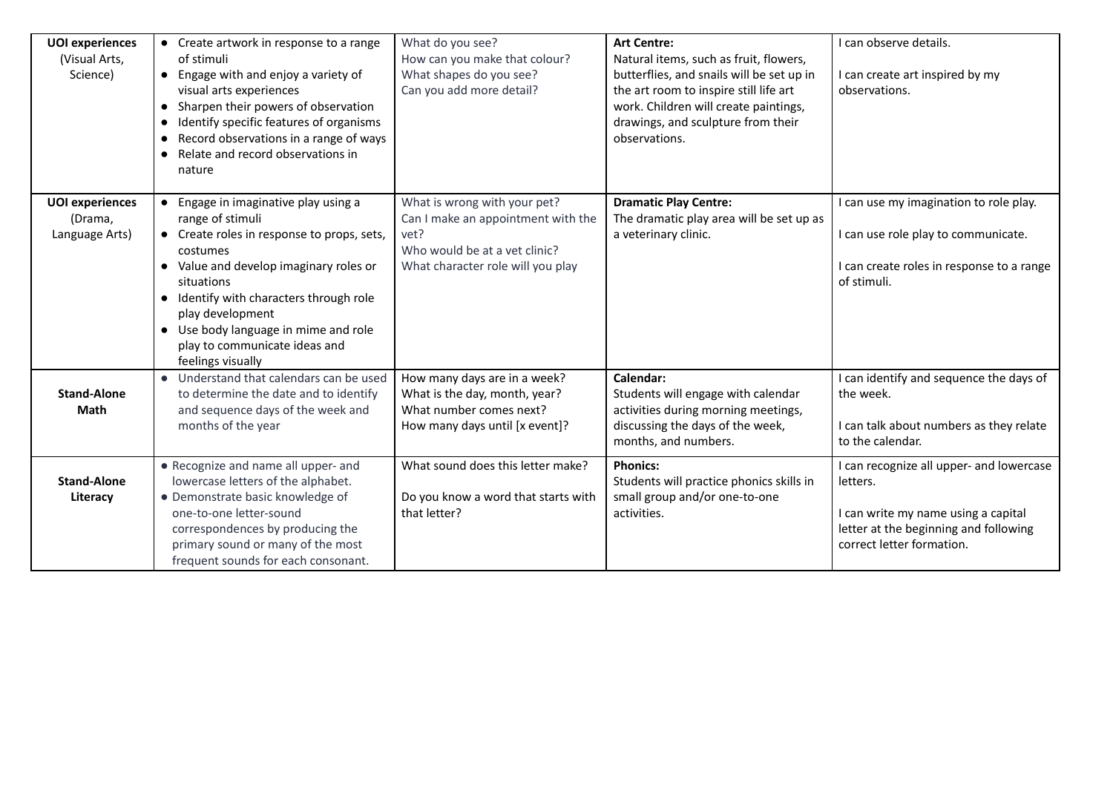| <b>UOI</b> experiences<br>(Visual Arts,<br>Science) | • Create artwork in response to a range<br>of stimuli<br>• Engage with and enjoy a variety of<br>visual arts experiences<br>Sharpen their powers of observation<br>$\bullet$<br>Identify specific features of organisms<br>$\bullet$<br>Record observations in a range of ways<br>$\bullet$<br>Relate and record observations in<br>nature       | What do you see?<br>How can you make that colour?<br>What shapes do you see?<br>Can you add more detail?                                         | <b>Art Centre:</b><br>Natural items, such as fruit, flowers,<br>butterflies, and snails will be set up in<br>the art room to inspire still life art<br>work. Children will create paintings,<br>drawings, and sculpture from their<br>observations. | I can observe details.<br>I can create art inspired by my<br>observations.                                                                                        |
|-----------------------------------------------------|--------------------------------------------------------------------------------------------------------------------------------------------------------------------------------------------------------------------------------------------------------------------------------------------------------------------------------------------------|--------------------------------------------------------------------------------------------------------------------------------------------------|-----------------------------------------------------------------------------------------------------------------------------------------------------------------------------------------------------------------------------------------------------|-------------------------------------------------------------------------------------------------------------------------------------------------------------------|
| <b>UOI</b> experiences<br>(Drama,<br>Language Arts) | Engage in imaginative play using a<br>range of stimuli<br>• Create roles in response to props, sets,<br>costumes<br>• Value and develop imaginary roles or<br>situations<br>Identify with characters through role<br>$\bullet$<br>play development<br>• Use body language in mime and role<br>play to communicate ideas and<br>feelings visually | What is wrong with your pet?<br>Can I make an appointment with the<br>vet?<br>Who would be at a vet clinic?<br>What character role will you play | <b>Dramatic Play Centre:</b><br>The dramatic play area will be set up as<br>a veterinary clinic.                                                                                                                                                    | I can use my imagination to role play.<br>I can use role play to communicate.<br>I can create roles in response to a range<br>of stimuli.                         |
| <b>Stand-Alone</b><br>Math                          | Understand that calendars can be used<br>to determine the date and to identify<br>and sequence days of the week and<br>months of the year                                                                                                                                                                                                        | How many days are in a week?<br>What is the day, month, year?<br>What number comes next?<br>How many days until [x event]?                       | Calendar:<br>Students will engage with calendar<br>activities during morning meetings,<br>discussing the days of the week,<br>months, and numbers.                                                                                                  | I can identify and sequence the days of<br>the week.<br>I can talk about numbers as they relate<br>to the calendar.                                               |
| <b>Stand-Alone</b><br>Literacy                      | • Recognize and name all upper- and<br>lowercase letters of the alphabet.<br>• Demonstrate basic knowledge of<br>one-to-one letter-sound<br>correspondences by producing the<br>primary sound or many of the most<br>frequent sounds for each consonant.                                                                                         | What sound does this letter make?<br>Do you know a word that starts with<br>that letter?                                                         | <b>Phonics:</b><br>Students will practice phonics skills in<br>small group and/or one-to-one<br>activities.                                                                                                                                         | I can recognize all upper- and lowercase<br>letters.<br>I can write my name using a capital<br>letter at the beginning and following<br>correct letter formation. |